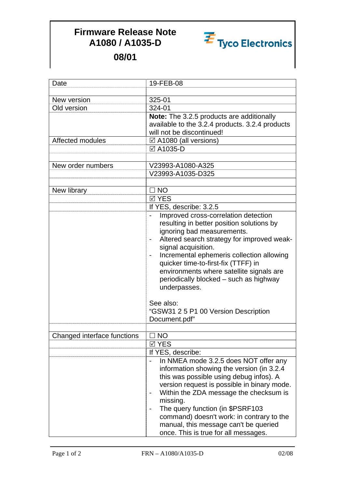## **Firmware Release Note A1080 / A1035-D**



**08/01**

| Date                        | 19-FEB-08                                       |
|-----------------------------|-------------------------------------------------|
|                             |                                                 |
| New version                 | 325-01                                          |
| Old version                 | 324-01                                          |
|                             | Note: The 3.2.5 products are additionally       |
|                             | available to the 3.2.4 products. 3.2.4 products |
|                             | will not be discontinued!                       |
| Affected modules            | ☑ A1080 (all versions)                          |
|                             | ☑ A1035-D                                       |
|                             |                                                 |
| New order numbers           | V23993-A1080-A325                               |
|                             | V23993-A1035-D325                               |
|                             |                                                 |
| New library                 | $\Box$ NO                                       |
|                             | <b>⊠ YES</b>                                    |
|                             | If YES, describe: 3.2.5                         |
|                             | Improved cross-correlation detection            |
|                             | resulting in better position solutions by       |
|                             | ignoring bad measurements.                      |
|                             | Altered search strategy for improved weak-      |
|                             | signal acquisition.                             |
|                             | Incremental ephemeris collection allowing       |
|                             | quicker time-to-first-fix (TTFF) in             |
|                             | environments where satellite signals are        |
|                             | periodically blocked - such as highway          |
|                             | underpasses.                                    |
|                             | See also:                                       |
|                             | "GSW31 2 5 P1 00 Version Description            |
|                             | Document.pdf"                                   |
|                             |                                                 |
| Changed interface functions | $\square$ NO                                    |
|                             | ⊠ YES                                           |
|                             | If YES, describe:                               |
|                             | In NMEA mode 3.2.5 does NOT offer any           |
|                             | information showing the version (in 3.2.4)      |
|                             | this was possible using debug infos). A         |
|                             | version request is possible in binary mode.     |
|                             | Within the ZDA message the checksum is          |
|                             | missing.                                        |
|                             | The query function (in \$PSRF103                |
|                             | command) doesn't work: in contrary to the       |
|                             | manual, this message can't be queried           |
|                             | once. This is true for all messages.            |